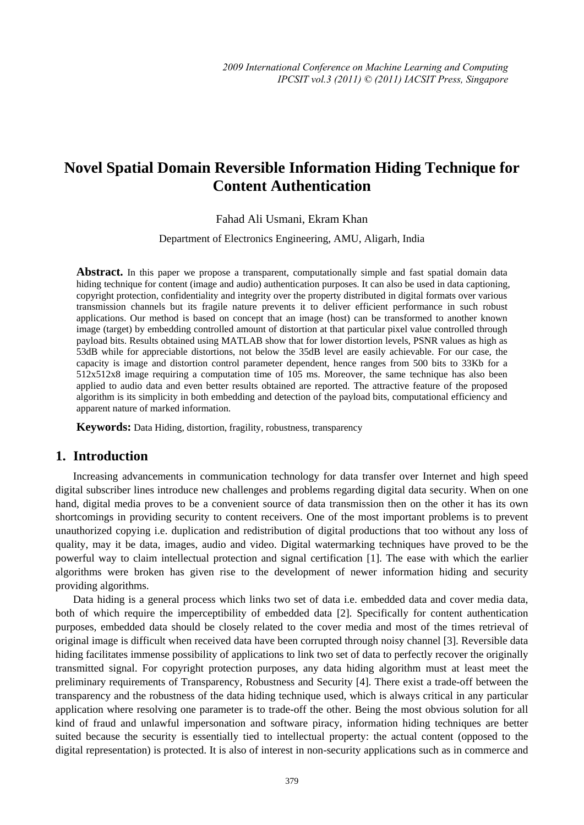# **Novel Spatial Domain Reversible Information Hiding Technique for Content Authentication**

Fahad Ali Usmani, Ekram Khan

Department of Electronics Engineering, AMU, Aligarh, India

Abstract. In this paper we propose a transparent, computationally simple and fast spatial domain data hiding technique for content (image and audio) authentication purposes. It can also be used in data captioning, copyright protection, confidentiality and integrity over the property distributed in digital formats over various transmission channels but its fragile nature prevents it to deliver efficient performance in such robust applications. Our method is based on concept that an image (host) can be transformed to another known image (target) by embedding controlled amount of distortion at that particular pixel value controlled through payload bits. Results obtained using MATLAB show that for lower distortion levels, PSNR values as high as 53dB while for appreciable distortions, not below the 35dB level are easily achievable. For our case, the capacity is image and distortion control parameter dependent, hence ranges from 500 bits to 33Kb for a 512x512x8 image requiring a computation time of 105 ms. Moreover, the same technique has also been applied to audio data and even better results obtained are reported. The attractive feature of the proposed algorithm is its simplicity in both embedding and detection of the payload bits, computational efficiency and apparent nature of marked information.

**Keywords:** Data Hiding, distortion, fragility, robustness, transparency

### **1. Introduction**

Increasing advancements in communication technology for data transfer over Internet and high speed digital subscriber lines introduce new challenges and problems regarding digital data security. When on one hand, digital media proves to be a convenient source of data transmission then on the other it has its own shortcomings in providing security to content receivers. One of the most important problems is to prevent unauthorized copying i.e. duplication and redistribution of digital productions that too without any loss of quality, may it be data, images, audio and video. Digital watermarking techniques have proved to be the powerful way to claim intellectual protection and signal certification [1]. The ease with which the earlier algorithms were broken has given rise to the development of newer information hiding and security providing algorithms.

Data hiding is a general process which links two set of data i.e. embedded data and cover media data, both of which require the imperceptibility of embedded data [2]. Specifically for content authentication purposes, embedded data should be closely related to the cover media and most of the times retrieval of original image is difficult when received data have been corrupted through noisy channel [3]. Reversible data hiding facilitates immense possibility of applications to link two set of data to perfectly recover the originally transmitted signal. For copyright protection purposes, any data hiding algorithm must at least meet the preliminary requirements of Transparency, Robustness and Security [4]. There exist a trade-off between the transparency and the robustness of the data hiding technique used, which is always critical in any particular application where resolving one parameter is to trade-off the other. Being the most obvious solution for all kind of fraud and unlawful impersonation and software piracy, information hiding techniques are better suited because the security is essentially tied to intellectual property: the actual content (opposed to the digital representation) is protected. It is also of interest in non-security applications such as in commerce and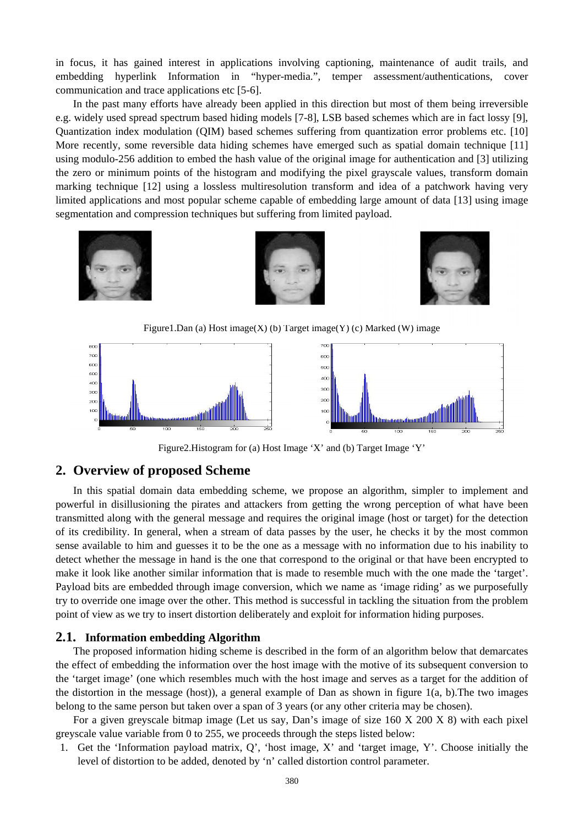in focus, it has gained interest in applications involving captioning, maintenance of audit trails, and embedding hyperlink Information in "hyper-media.", temper assessment/authentications, cover communication and trace applications etc [5-6].

In the past many efforts have already been applied in this direction but most of them being irreversible e.g. widely used spread spectrum based hiding models [7-8], LSB based schemes which are in fact lossy [9], Quantization index modulation (QIM) based schemes suffering from quantization error problems etc. [10] More recently, some reversible data hiding schemes have emerged such as spatial domain technique [11] using modulo-256 addition to embed the hash value of the original image for authentication and [3] utilizing the zero or minimum points of the histogram and modifying the pixel grayscale values, transform domain marking technique [12] using a lossless multiresolution transform and idea of a patchwork having very limited applications and most popular scheme capable of embedding large amount of data [13] using image segmentation and compression techniques but suffering from limited payload.



Figure1.Dan (a) Host image $(X)$  (b) Target image $(Y)$  (c) Marked (W) image



Figure2.Histogram for (a) Host Image 'X' and (b) Target Image 'Y'

# **2. Overview of proposed Scheme**

In this spatial domain data embedding scheme, we propose an algorithm, simpler to implement and powerful in disillusioning the pirates and attackers from getting the wrong perception of what have been transmitted along with the general message and requires the original image (host or target) for the detection of its credibility. In general, when a stream of data passes by the user, he checks it by the most common sense available to him and guesses it to be the one as a message with no information due to his inability to detect whether the message in hand is the one that correspond to the original or that have been encrypted to make it look like another similar information that is made to resemble much with the one made the 'target'. Payload bits are embedded through image conversion, which we name as 'image riding' as we purposefully try to override one image over the other. This method is successful in tackling the situation from the problem point of view as we try to insert distortion deliberately and exploit for information hiding purposes.

#### **2.1. Information embedding Algorithm**

The proposed information hiding scheme is described in the form of an algorithm below that demarcates the effect of embedding the information over the host image with the motive of its subsequent conversion to the 'target image' (one which resembles much with the host image and serves as a target for the addition of the distortion in the message (host)), a general example of Dan as shown in figure 1(a, b).The two images belong to the same person but taken over a span of 3 years (or any other criteria may be chosen).

For a given greyscale bitmap image (Let us say, Dan's image of size 160 X 200 X 8) with each pixel greyscale value variable from 0 to 255, we proceeds through the steps listed below:

1. Get the 'Information payload matrix, Q', 'host image, X' and 'target image, Y'. Choose initially the level of distortion to be added, denoted by 'n' called distortion control parameter.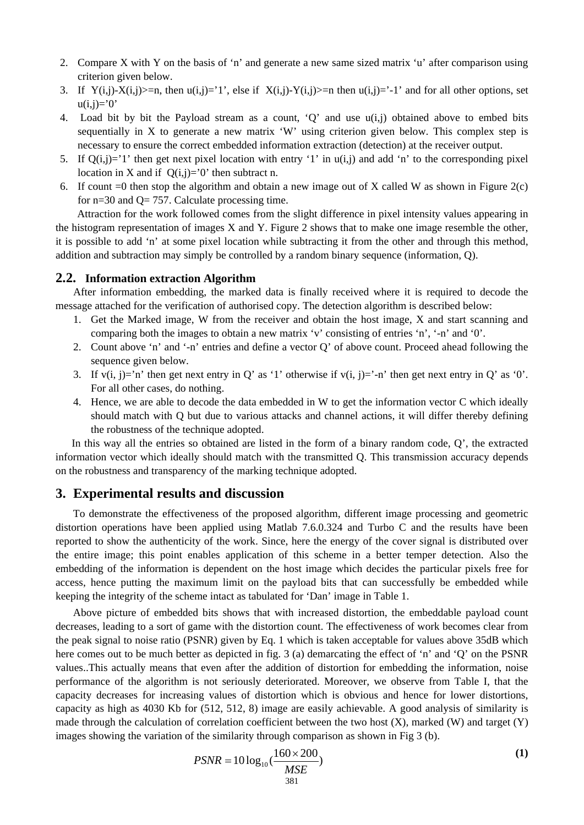- 2. Compare X with Y on the basis of 'n' and generate a new same sized matrix 'u' after comparison using criterion given below.
- 3. If  $Y(i,j)-X(i,j)=n$ , then  $u(i,j)=1$ ', else if  $X(i,j)-Y(i,j)=-n$  then  $u(i,j)=1$ ' and for all other options, set  $u(i,i)='0'$
- 4. Load bit by bit the Payload stream as a count, 'Q' and use u(i,j) obtained above to embed bits sequentially in X to generate a new matrix 'W' using criterion given below. This complex step is necessary to ensure the correct embedded information extraction (detection) at the receiver output.
- 5. If  $Q(i,j)=1$  then get next pixel location with entry '1' in  $u(i,j)$  and add 'n' to the corresponding pixel location in X and if  $Q(i,j)=0$  then subtract n.
- 6. If count  $=0$  then stop the algorithm and obtain a new image out of X called W as shown in Figure 2(c) for  $n=30$  and  $Q= 757$ . Calculate processing time.

 Attraction for the work followed comes from the slight difference in pixel intensity values appearing in the histogram representation of images X and Y. Figure 2 shows that to make one image resemble the other, it is possible to add 'n' at some pixel location while subtracting it from the other and through this method, addition and subtraction may simply be controlled by a random binary sequence (information, Q).

#### **2.2. Information extraction Algorithm**

After information embedding, the marked data is finally received where it is required to decode the message attached for the verification of authorised copy. The detection algorithm is described below:

- 1. Get the Marked image, W from the receiver and obtain the host image, X and start scanning and comparing both the images to obtain a new matrix 'v' consisting of entries 'n', '-n' and '0'.
- 2. Count above 'n' and '-n' entries and define a vector Q' of above count. Proceed ahead following the sequence given below.
- 3. If  $v(i, j)=n'$  then get next entry in Q' as '1' otherwise if  $v(i, j)=1$ '-n' then get next entry in Q' as '0'. For all other cases, do nothing.
- 4. Hence, we are able to decode the data embedded in W to get the information vector C which ideally should match with Q but due to various attacks and channel actions, it will differ thereby defining the robustness of the technique adopted.

 In this way all the entries so obtained are listed in the form of a binary random code, Q', the extracted information vector which ideally should match with the transmitted Q. This transmission accuracy depends on the robustness and transparency of the marking technique adopted.

# **3. Experimental results and discussion**

To demonstrate the effectiveness of the proposed algorithm, different image processing and geometric distortion operations have been applied using Matlab 7.6.0.324 and Turbo C and the results have been reported to show the authenticity of the work. Since, here the energy of the cover signal is distributed over the entire image; this point enables application of this scheme in a better temper detection. Also the embedding of the information is dependent on the host image which decides the particular pixels free for access, hence putting the maximum limit on the payload bits that can successfully be embedded while keeping the integrity of the scheme intact as tabulated for 'Dan' image in Table 1.

Above picture of embedded bits shows that with increased distortion, the embeddable payload count decreases, leading to a sort of game with the distortion count. The effectiveness of work becomes clear from the peak signal to noise ratio (PSNR) given by Eq. 1 which is taken acceptable for values above 35dB which here comes out to be much better as depicted in fig. 3 (a) demarcating the effect of 'n' and 'O' on the PSNR values..This actually means that even after the addition of distortion for embedding the information, noise performance of the algorithm is not seriously deteriorated. Moreover, we observe from Table I, that the capacity decreases for increasing values of distortion which is obvious and hence for lower distortions, capacity as high as 4030 Kb for (512, 512, 8) image are easily achievable. A good analysis of similarity is made through the calculation of correlation coefficient between the two host  $(X)$ , marked  $(W)$  and target  $(Y)$ images showing the variation of the similarity through comparison as shown in Fig 3 (b).

$$
PSNR = 10\log_{10}\left(\frac{160 \times 200}{MSE}\right) \tag{1}
$$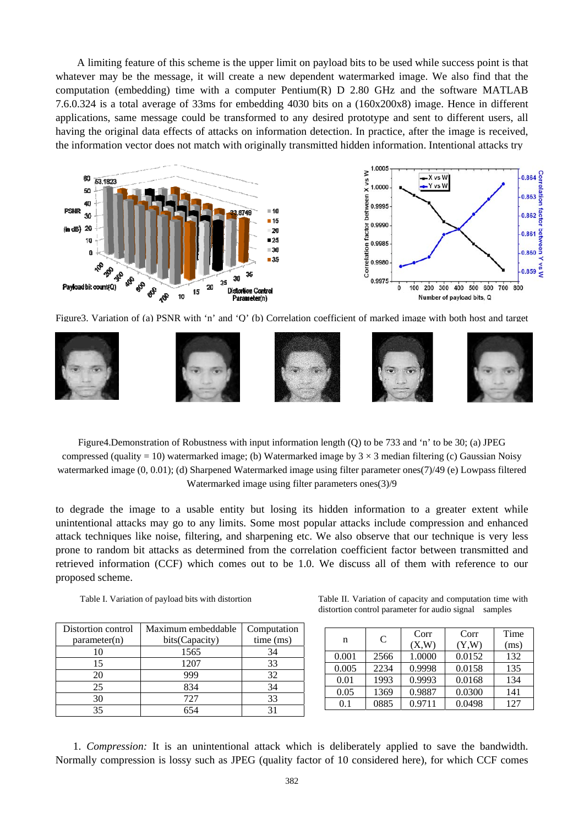A limiting feature of this scheme is the upper limit on payload bits to be used while success point is that whatever may be the message, it will create a new dependent watermarked image. We also find that the computation (embedding) time with a computer Pentium(R) D 2.80 GHz and the software MATLAB 7.6.0.324 is a total average of 33ms for embedding 4030 bits on a (160x200x8) image. Hence in different applications, same message could be transformed to any desired prototype and sent to different users, all having the original data effects of attacks on information detection. In practice, after the image is received, the information vector does not match with originally transmitted hidden information. Intentional attacks try



Figure3. Variation of (a) PSNR with 'n' and 'Q' (b) Correlation coefficient of marked image with both host and target



Figure4.Demonstration of Robustness with input information length (Q) to be 733 and 'n' to be 30; (a) JPEG compressed (quality = 10) watermarked image; (b) Watermarked image by  $3 \times 3$  median filtering (c) Gaussian Noisy watermarked image (0, 0.01); (d) Sharpened Watermarked image using filter parameter ones(7)/49 (e) Lowpass filtered Watermarked image using filter parameters ones(3)/9

to degrade the image to a usable entity but losing its hidden information to a greater extent while unintentional attacks may go to any limits. Some most popular attacks include compression and enhanced attack techniques like noise, filtering, and sharpening etc. We also observe that our technique is very less prone to random bit attacks as determined from the correlation coefficient factor between transmitted and retrieved information (CCF) which comes out to be 1.0. We discuss all of them with reference to our proposed scheme.

| Distortion control | Maximum embeddable | Computation |
|--------------------|--------------------|-------------|
| parameter(n)       | bits(Capacity)     | time (ms)   |
|                    | 1565               | 34          |
| 15                 | 1207               | 33          |
| 20                 | 999                | 32          |
| 25                 | 834                | 34          |
| 30                 | 727                | 33          |
|                    |                    |             |

Table I. Variation of payload bits with distortion Table II. Variation of capacity and computation time with distortion control parameter for audio signal samples

| n     | C    | Corr   | Corr   | Time |
|-------|------|--------|--------|------|
|       |      | (X,W)  | (Y,W)  | (ms) |
| 0.001 | 2566 | 1.0000 | 0.0152 | 132  |
| 0.005 | 2234 | 0.9998 | 0.0158 | 135  |
| 0.01  | 1993 | 0.9993 | 0.0168 | 134  |
| 0.05  | 1369 | 0.9887 | 0.0300 | 141  |
| 0.1   | 0885 | 0.9711 | 0.0498 | 127  |

1. *Compression:* It is an unintentional attack which is deliberately applied to save the bandwidth. Normally compression is lossy such as JPEG (quality factor of 10 considered here), for which CCF comes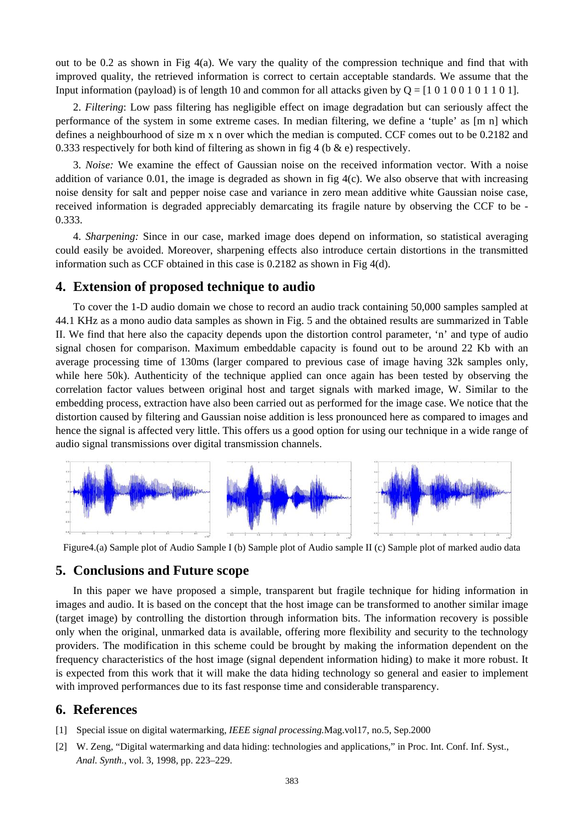out to be 0.2 as shown in Fig 4(a). We vary the quality of the compression technique and find that with improved quality, the retrieved information is correct to certain acceptable standards. We assume that the Input information (payload) is of length 10 and common for all attacks given by  $Q = [1\ 0\ 1\ 0\ 0\ 1\ 0\ 1\ 1\ 0\ 1]$ .

2. *Filtering*: Low pass filtering has negligible effect on image degradation but can seriously affect the performance of the system in some extreme cases. In median filtering, we define a 'tuple' as [m n] which defines a neighbourhood of size m x n over which the median is computed. CCF comes out to be 0.2182 and 0.333 respectively for both kind of filtering as shown in fig 4 (b  $\&$  e) respectively.

3. *Noise:* We examine the effect of Gaussian noise on the received information vector. With a noise addition of variance 0.01, the image is degraded as shown in fig  $4(c)$ . We also observe that with increasing noise density for salt and pepper noise case and variance in zero mean additive white Gaussian noise case, received information is degraded appreciably demarcating its fragile nature by observing the CCF to be - 0.333.

4. *Sharpening:* Since in our case, marked image does depend on information, so statistical averaging could easily be avoided. Moreover, sharpening effects also introduce certain distortions in the transmitted information such as CCF obtained in this case is 0.2182 as shown in Fig 4(d).

#### **4. Extension of proposed technique to audio**

To cover the 1-D audio domain we chose to record an audio track containing 50,000 samples sampled at 44.1 KHz as a mono audio data samples as shown in Fig. 5 and the obtained results are summarized in Table II. We find that here also the capacity depends upon the distortion control parameter, 'n' and type of audio signal chosen for comparison. Maximum embeddable capacity is found out to be around 22 Kb with an average processing time of 130ms (larger compared to previous case of image having 32k samples only, while here 50k). Authenticity of the technique applied can once again has been tested by observing the correlation factor values between original host and target signals with marked image, W. Similar to the embedding process, extraction have also been carried out as performed for the image case. We notice that the distortion caused by filtering and Gaussian noise addition is less pronounced here as compared to images and hence the signal is affected very little. This offers us a good option for using our technique in a wide range of audio signal transmissions over digital transmission channels.



Figure4.(a) Sample plot of Audio Sample I (b) Sample plot of Audio sample II (c) Sample plot of marked audio data

#### **5. Conclusions and Future scope**

In this paper we have proposed a simple, transparent but fragile technique for hiding information in images and audio. It is based on the concept that the host image can be transformed to another similar image (target image) by controlling the distortion through information bits. The information recovery is possible only when the original, unmarked data is available, offering more flexibility and security to the technology providers. The modification in this scheme could be brought by making the information dependent on the frequency characteristics of the host image (signal dependent information hiding) to make it more robust. It is expected from this work that it will make the data hiding technology so general and easier to implement with improved performances due to its fast response time and considerable transparency.

## **6. References**

- [1] Special issue on digital watermarking, *IEEE signal processing.*Mag.vol17, no.5, Sep.2000
- [2] W. Zeng, "Digital watermarking and data hiding: technologies and applications," in Proc. Int. Conf. Inf. Syst., *Anal. Synth.*, vol. 3, 1998, pp. 223–229.